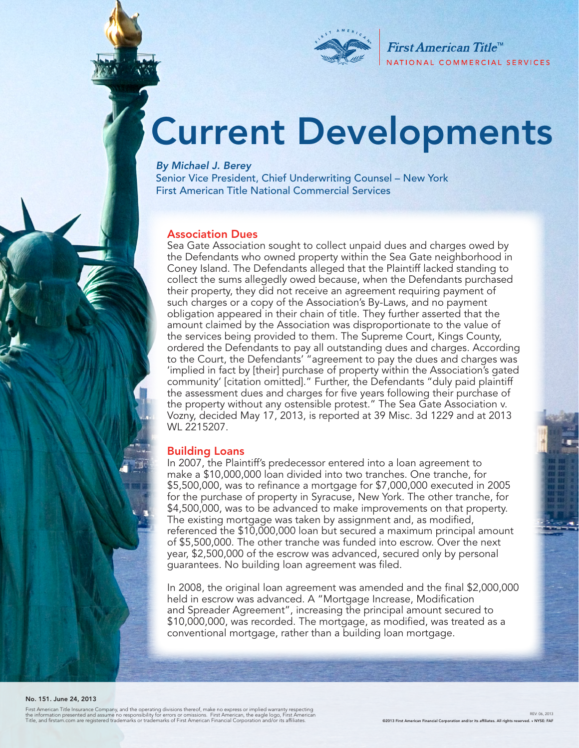

First American Title<sup>™</sup> NATIONAL COMMERCIAL SERVICES

# Current Developments

*By Michael J. Berey* 

Senior Vice President, Chief Underwriting Counsel – New York First American Title National Commercial Services

### Association Dues

Sea Gate Association sought to collect unpaid dues and charges owed by the Defendants who owned property within the Sea Gate neighborhood in Coney Island. The Defendants alleged that the Plaintiff lacked standing to collect the sums allegedly owed because, when the Defendants purchased their property, they did not receive an agreement requiring payment of such charges or a copy of the Association's By-Laws, and no payment obligation appeared in their chain of title. They further asserted that the amount claimed by the Association was disproportionate to the value of the services being provided to them. The Supreme Court, Kings County, ordered the Defendants to pay all outstanding dues and charges. According to the Court, the Defendants' "agreement to pay the dues and charges was 'implied in fact by [their] purchase of property within the Association's gated community' [citation omitted]." Further, the Defendants "duly paid plaintiff the assessment dues and charges for five years following their purchase of the property without any ostensible protest." The Sea Gate Association v. Vozny, decided May 17, 2013, is reported at 39 Misc. 3d 1229 and at 2013 WL 2215207.

#### Building Loans

In 2007, the Plaintiff's predecessor entered into a loan agreement to make a \$10,000,000 loan divided into two tranches. One tranche, for \$5,500,000, was to refinance a mortgage for \$7,000,000 executed in 2005 for the purchase of property in Syracuse, New York. The other tranche, for \$4,500,000, was to be advanced to make improvements on that property. The existing mortgage was taken by assignment and, as modified, referenced the \$10,000,000 loan but secured a maximum principal amount of \$5,500,000. The other tranche was funded into escrow. Over the next year, \$2,500,000 of the escrow was advanced, secured only by personal guarantees. No building loan agreement was filed.

In 2008, the original loan agreement was amended and the final \$2,000,000 held in escrow was advanced. A "Mortgage Increase, Modification and Spreader Agreement", increasing the principal amount secured to \$10,000,000, was recorded. The mortgage, as modified, was treated as a conventional mortgage, rather than a building loan mortgage.

#### No. 151. June 24, 2013

First American Title Insurance Company, and the operating divisions thereof, make no express or implied warranty respecting<br>the information presented and assume no responsibility for errors or omissions. First American, th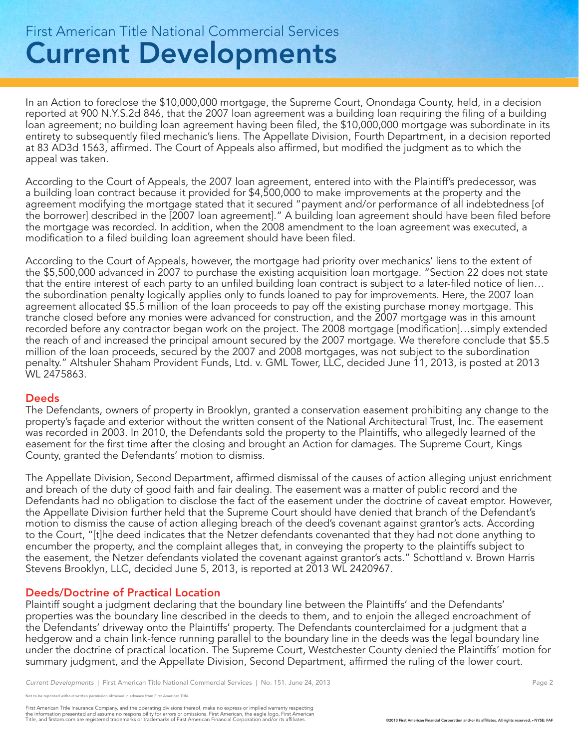## Current Developments First American Title National Commercial Services

In an Action to foreclose the \$10,000,000 mortgage, the Supreme Court, Onondaga County, held, in a decision reported at 900 N.Y.S.2d 846, that the 2007 loan agreement was a building loan requiring the filing of a building loan agreement; no building loan agreement having been filed, the \$10,000,000 mortgage was subordinate in its entirety to subsequently filed mechanic's liens. The Appellate Division, Fourth Department, in a decision reported at 83 AD3d 1563, affirmed. The Court of Appeals also affirmed, but modified the judgment as to which the appeal was taken.

According to the Court of Appeals, the 2007 loan agreement, entered into with the Plaintiff's predecessor, was a building loan contract because it provided for \$4,500,000 to make improvements at the property and the agreement modifying the mortgage stated that it secured "payment and/or performance of all indebtedness [of the borrower] described in the [2007 loan agreement]." A building loan agreement should have been filed before the mortgage was recorded. In addition, when the 2008 amendment to the loan agreement was executed, a modification to a filed building loan agreement should have been filed.

According to the Court of Appeals, however, the mortgage had priority over mechanics' liens to the extent of the \$5,500,000 advanced in 2007 to purchase the existing acquisition loan mortgage. "Section 22 does not state that the entire interest of each party to an unfiled building loan contract is subject to a later-filed notice of lien… the subordination penalty logically applies only to funds loaned to pay for improvements. Here, the 2007 loan agreement allocated \$5.5 million of the loan proceeds to pay off the existing purchase money mortgage. This tranche closed before any monies were advanced for construction, and the 2007 mortgage was in this amount recorded before any contractor began work on the project. The 2008 mortgage [modification]…simply extended the reach of and increased the principal amount secured by the 2007 mortgage. We therefore conclude that \$5.5 million of the loan proceeds, secured by the 2007 and 2008 mortgages, was not subject to the subordination penalty." Altshuler Shaham Provident Funds, Ltd. v. GML Tower, LLC, decided June 11, 2013, is posted at 2013 WL 2475863.

### Deeds

The Defendants, owners of property in Brooklyn, granted a conservation easement prohibiting any change to the property's façade and exterior without the written consent of the National Architectural Trust, Inc. The easement was recorded in 2003. In 2010, the Defendants sold the property to the Plaintiffs, who allegedly learned of the easement for the first time after the closing and brought an Action for damages. The Supreme Court, Kings County, granted the Defendants' motion to dismiss.

The Appellate Division, Second Department, affirmed dismissal of the causes of action alleging unjust enrichment and breach of the duty of good faith and fair dealing. The easement was a matter of public record and the Defendants had no obligation to disclose the fact of the easement under the doctrine of caveat emptor. However, the Appellate Division further held that the Supreme Court should have denied that branch of the Defendant's motion to dismiss the cause of action alleging breach of the deed's covenant against grantor's acts. According to the Court, "[t]he deed indicates that the Netzer defendants covenanted that they had not done anything to encumber the property, and the complaint alleges that, in conveying the property to the plaintiffs subject to the easement, the Netzer defendants violated the covenant against grantor's acts." Schottland v. Brown Harris Stevens Brooklyn, LLC, decided June 5, 2013, is reported at 2013 WL 2420967.

### Deeds/Doctrine of Practical Location

Plaintiff sought a judgment declaring that the boundary line between the Plaintiffs' and the Defendants' properties was the boundary line described in the deeds to them, and to enjoin the alleged encroachment of the Defendants' driveway onto the Plaintiffs' property. The Defendants counterclaimed for a judgment that a hedgerow and a chain link-fence running parallel to the boundary line in the deeds was the legal boundary line under the doctrine of practical location. The Supreme Court, Westchester County denied the Plaintiffs' motion for summary judgment, and the Appellate Division, Second Department, affirmed the ruling of the lower court.

reprinted without written permission obtained in advance from First American Title.

First American Title Insurance Company, and the operating divisions thereof, make no express or implied warranty respecting<br>the information presented and assume no responsibility for errors or omissions. First American fin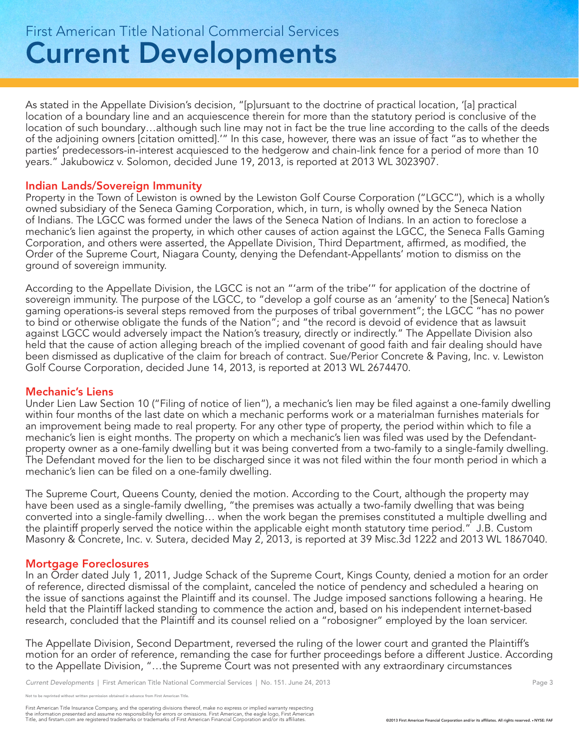## Current Developments First American Title National Commercial Services

As stated in the Appellate Division's decision, "[p]ursuant to the doctrine of practical location, '[a] practical location of a boundary line and an acquiescence therein for more than the statutory period is conclusive of the location of such boundary…although such line may not in fact be the true line according to the calls of the deeds of the adjoining owners [citation omitted].'" In this case, however, there was an issue of fact "as to whether the parties' predecessors-in-interest acquiesced to the hedgerow and chain-link fence for a period of more than 10 years." Jakubowicz v. Solomon, decided June 19, 2013, is reported at 2013 WL 3023907.

### Indian Lands/Sovereign Immunity

Property in the Town of Lewiston is owned by the Lewiston Golf Course Corporation ("LGCC"), which is a wholly owned subsidiary of the Seneca Gaming Corporation, which, in turn, is wholly owned by the Seneca Nation of Indians. The LGCC was formed under the laws of the Seneca Nation of Indians. In an action to foreclose a mechanic's lien against the property, in which other causes of action against the LGCC, the Seneca Falls Gaming Corporation, and others were asserted, the Appellate Division, Third Department, affirmed, as modified, the Order of the Supreme Court, Niagara County, denying the Defendant-Appellants' motion to dismiss on the ground of sovereign immunity.

According to the Appellate Division, the LGCC is not an "'arm of the tribe'" for application of the doctrine of sovereign immunity. The purpose of the LGCC, to "develop a golf course as an 'amenity' to the [Seneca] Nation's gaming operations-is several steps removed from the purposes of tribal government"; the LGCC "has no power to bind or otherwise obligate the funds of the Nation"; and "the record is devoid of evidence that as lawsuit against LGCC would adversely impact the Nation's treasury, directly or indirectly." The Appellate Division also held that the cause of action alleging breach of the implied covenant of good faith and fair dealing should have been dismissed as duplicative of the claim for breach of contract. Sue/Perior Concrete & Paving, Inc. v. Lewiston Golf Course Corporation, decided June 14, 2013, is reported at 2013 WL 2674470.

### Mechanic's Liens

Under Lien Law Section 10 ("Filing of notice of lien"), a mechanic's lien may be filed against a one-family dwelling within four months of the last date on which a mechanic performs work or a materialman furnishes materials for an improvement being made to real property. For any other type of property, the period within which to file a mechanic's lien is eight months. The property on which a mechanic's lien was filed was used by the Defendantproperty owner as a one-family dwelling but it was being converted from a two-family to a single-family dwelling. The Defendant moved for the lien to be discharged since it was not filed within the four month period in which a mechanic's lien can be filed on a one-family dwelling.

The Supreme Court, Queens County, denied the motion. According to the Court, although the property may have been used as a single-family dwelling, "the premises was actually a two-family dwelling that was being converted into a single-family dwelling… when the work began the premises constituted a multiple dwelling and the plaintiff properly served the notice within the applicable eight month statutory time period." J.B. Custom Masonry & Concrete, Inc. v. Sutera, decided May 2, 2013, is reported at 39 Misc.3d 1222 and 2013 WL 1867040.

### Mortgage Foreclosures

In an Order dated July 1, 2011, Judge Schack of the Supreme Court, Kings County, denied a motion for an order of reference, directed dismissal of the complaint, canceled the notice of pendency and scheduled a hearing on the issue of sanctions against the Plaintiff and its counsel. The Judge imposed sanctions following a hearing. He held that the Plaintiff lacked standing to commence the action and, based on his independent internet-based research, concluded that the Plaintiff and its counsel relied on a "robosigner" employed by the loan servicer.

The Appellate Division, Second Department, reversed the ruling of the lower court and granted the Plaintiff's motion for an order of reference, remanding the case for further proceedings before a different Justice. According to the Appellate Division, "…the Supreme Court was not presented with any extraordinary circumstances

*Current Developments* | First American Title National Commercial Services | No. 151. June 24, 2013 Page 3

eprinted without written permission obtained in advance from First American Title.

First American Title Insurance Company, and the operating divisions thereof, make no express or implied warranty respecting<br>the information presented and assume no responsibility for errors or omissions. First American fin